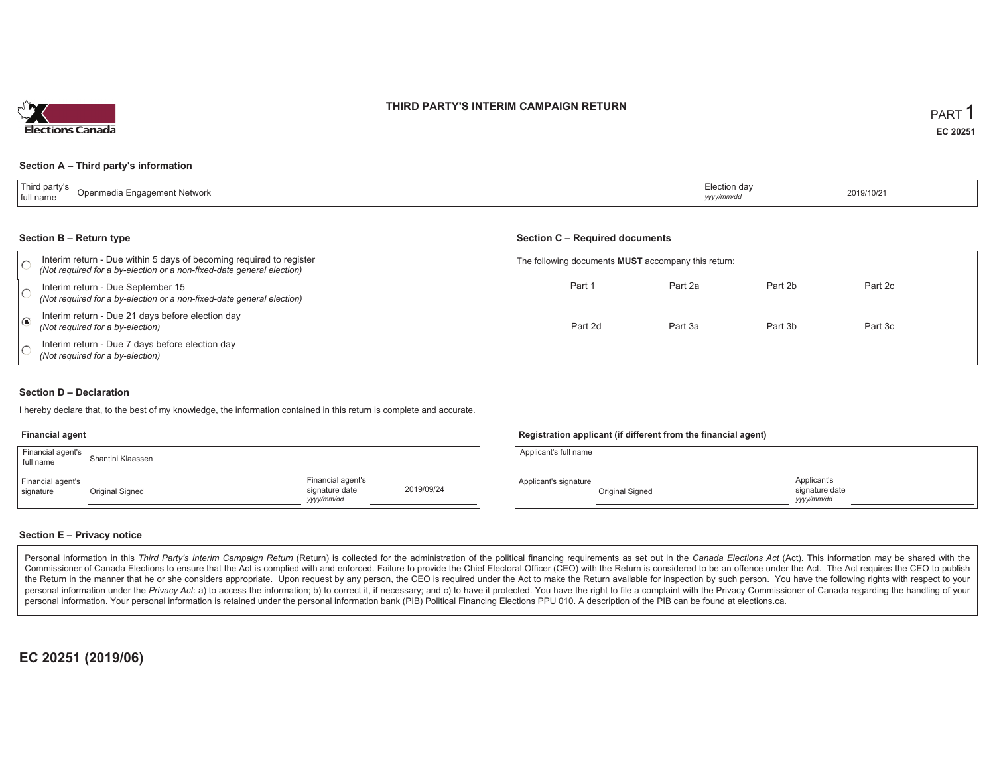## **THIRD PARTY'S INTERIM CAMPAIGN RETURN**



## **Section A – Third party's information**

| T<br>d part<br>Openmedia Engagement Network<br>full name | Election da<br>2019/10/21<br>yyyy/mm/dd |  |
|----------------------------------------------------------|-----------------------------------------|--|
|----------------------------------------------------------|-----------------------------------------|--|

#### **Section B – Return type**

|            | Interim return - Due within 5 days of becoming required to register<br>(Not required for a by-election or a non-fixed-date general election) | The following documents <b>MUST</b> accompany this return: |         |         |         |  |
|------------|----------------------------------------------------------------------------------------------------------------------------------------------|------------------------------------------------------------|---------|---------|---------|--|
|            | Interim return - Due September 15<br>(Not required for a by-election or a non-fixed-date general election)                                   | Part 1                                                     | Part 2a | Part 2b | Part 2c |  |
| $\epsilon$ | Interim return - Due 21 days before election day<br>(Not required for a by-election)                                                         | Part 2d                                                    | Part 3a | Part 3b | Part 3c |  |
|            | Interim return - Due 7 days before election day<br>(Not required for a by-election)                                                          |                                                            |         |         |         |  |

## **Section D – Declaration**

I hereby declare that, to the best of my knowledge, the information contained in this return is complete and accurate.

#### **Financial agent**

| Financial agent's<br>full name | Shantini Klaassen |                                                   |            |
|--------------------------------|-------------------|---------------------------------------------------|------------|
| Financial agent's<br>signature | Original Signed   | Financial agent's<br>signature date<br>yyyy/mm/dd | 2019/09/24 |

## **Registration applicant (if different from the financial agent)**

**Section C – Required documents**

| Applicant's full name |                 |                                            |  |
|-----------------------|-----------------|--------------------------------------------|--|
| Applicant's signature | Original Signed | Applicant's<br>signature date<br>yyy/mm/dd |  |

## **Section E – Privacy notice**

Personal information in this Third Party's Interim Campaign Return (Return) is collected for the administration of the political financing requirements as set out in the Canada Elections Act (Act). This information may be Commissioner of Canada Elections to ensure that the Act is complied with and enforced. Failure to provide the Chief Electoral Officer (CEO) with the Return is considered to be an offence under the Act. The Act requires the the Return in the manner that he or she considers appropriate. Upon request by any person, the CEO is required under the Act to make the Return available for inspection by such person. You have the following rights with re personal information under the Privacy Act: a) to access the information; b) to correct it, if necessary; and c) to have it protected. You have the right to file a complaint with the Privacy Commissioner of Canada regardin personal information. Your personal information is retained under the personal information bank (PIB) Political Financing Elections PPU 010. A description of the PIB can be found at elections.ca.

**EC 20251 (2019/06)**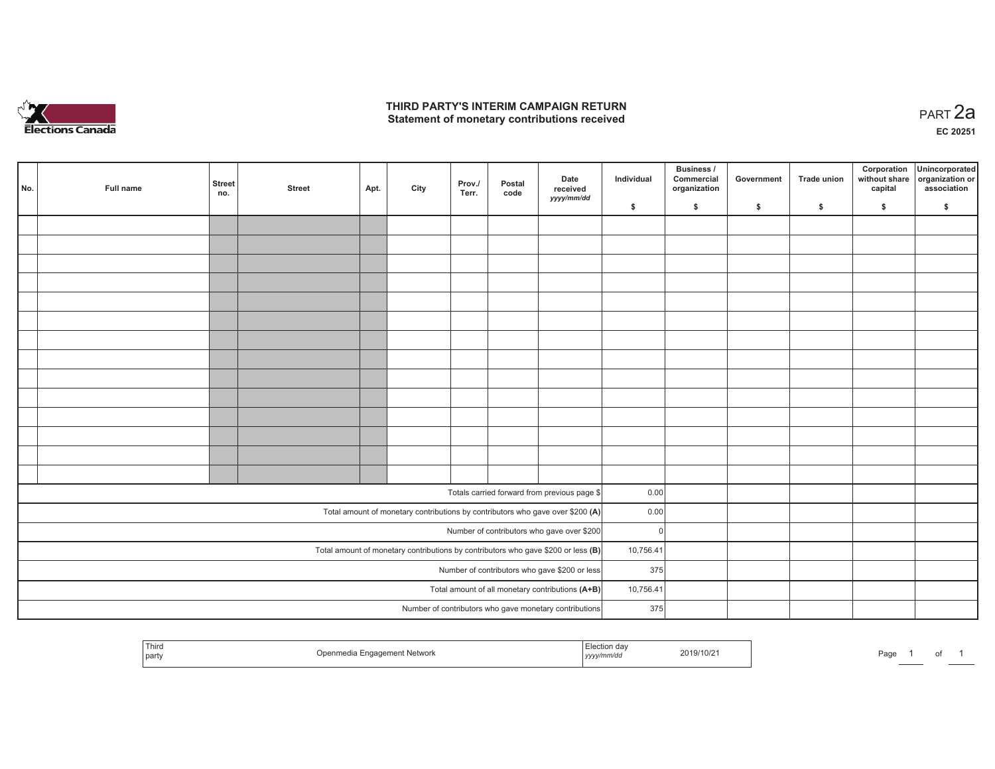

# **THIRD PARTY'S INTERIM CAMPAIGN RETURN**  THIRD PARTY'S INTERIM CAMPAIGN RETURN<br>Statement of monetary contributions received

|                                                                                     | No. | Full name | <b>Street</b><br>no. | <b>Street</b> | Apt. | City | Prov./<br>Terr. | Postal<br>code | Date<br>received<br>yyyy/mm/dd                                                 | Individual | Business /<br>Commercial<br>organization | Government | <b>Trade union</b> | Corporation<br>capital | Unincorporated<br>without share organization or<br>association |
|-------------------------------------------------------------------------------------|-----|-----------|----------------------|---------------|------|------|-----------------|----------------|--------------------------------------------------------------------------------|------------|------------------------------------------|------------|--------------------|------------------------|----------------------------------------------------------------|
|                                                                                     |     |           |                      |               |      |      |                 |                |                                                                                | \$         | \$                                       | \$         | \$                 | \$                     | \$                                                             |
|                                                                                     |     |           |                      |               |      |      |                 |                |                                                                                |            |                                          |            |                    |                        |                                                                |
|                                                                                     |     |           |                      |               |      |      |                 |                |                                                                                |            |                                          |            |                    |                        |                                                                |
|                                                                                     |     |           |                      |               |      |      |                 |                |                                                                                |            |                                          |            |                    |                        |                                                                |
|                                                                                     |     |           |                      |               |      |      |                 |                |                                                                                |            |                                          |            |                    |                        |                                                                |
|                                                                                     |     |           |                      |               |      |      |                 |                |                                                                                |            |                                          |            |                    |                        |                                                                |
|                                                                                     |     |           |                      |               |      |      |                 |                |                                                                                |            |                                          |            |                    |                        |                                                                |
|                                                                                     |     |           |                      |               |      |      |                 |                |                                                                                |            |                                          |            |                    |                        |                                                                |
|                                                                                     |     |           |                      |               |      |      |                 |                |                                                                                |            |                                          |            |                    |                        |                                                                |
|                                                                                     |     |           |                      |               |      |      |                 |                |                                                                                |            |                                          |            |                    |                        |                                                                |
|                                                                                     |     |           |                      |               |      |      |                 |                |                                                                                |            |                                          |            |                    |                        |                                                                |
|                                                                                     |     |           |                      |               |      |      |                 |                |                                                                                |            |                                          |            |                    |                        |                                                                |
|                                                                                     |     |           |                      |               |      |      |                 |                |                                                                                |            |                                          |            |                    |                        |                                                                |
|                                                                                     |     |           |                      |               |      |      |                 |                |                                                                                |            |                                          |            |                    |                        |                                                                |
|                                                                                     |     |           |                      |               |      |      |                 |                |                                                                                |            |                                          |            |                    |                        |                                                                |
|                                                                                     |     |           |                      |               |      |      |                 |                | Totals carried forward from previous page \$                                   | 0.00       |                                          |            |                    |                        |                                                                |
|                                                                                     |     |           |                      |               |      |      |                 |                | Total amount of monetary contributions by contributors who gave over \$200 (A) | 0.00       |                                          |            |                    |                        |                                                                |
|                                                                                     |     |           |                      |               |      |      |                 |                | Number of contributors who gave over \$200                                     | $\Omega$   |                                          |            |                    |                        |                                                                |
| Total amount of monetary contributions by contributors who gave \$200 or less $(B)$ |     |           |                      |               |      |      |                 |                | 10,756.41                                                                      |            |                                          |            |                    |                        |                                                                |
| Number of contributors who gave \$200 or less                                       |     |           |                      |               |      |      |                 |                | 375                                                                            |            |                                          |            |                    |                        |                                                                |
| Total amount of all monetary contributions (A+B)                                    |     |           |                      |               |      |      |                 |                | 10,756.41                                                                      |            |                                          |            |                    |                        |                                                                |
|                                                                                     |     |           |                      |               |      |      |                 |                | Number of contributors who gave monetary contributions                         | 375        |                                          |            |                    |                        |                                                                |
|                                                                                     |     |           |                      |               |      |      |                 |                |                                                                                |            |                                          |            |                    |                        |                                                                |

| Third<br>  party | a Engagement Network<br>Openmedia.<br>. . | …Juu⊓ dav<br>yyyy/mm/dd | 2019/10/21 | Page |  |  |
|------------------|-------------------------------------------|-------------------------|------------|------|--|--|
|                  |                                           |                         |            |      |  |  |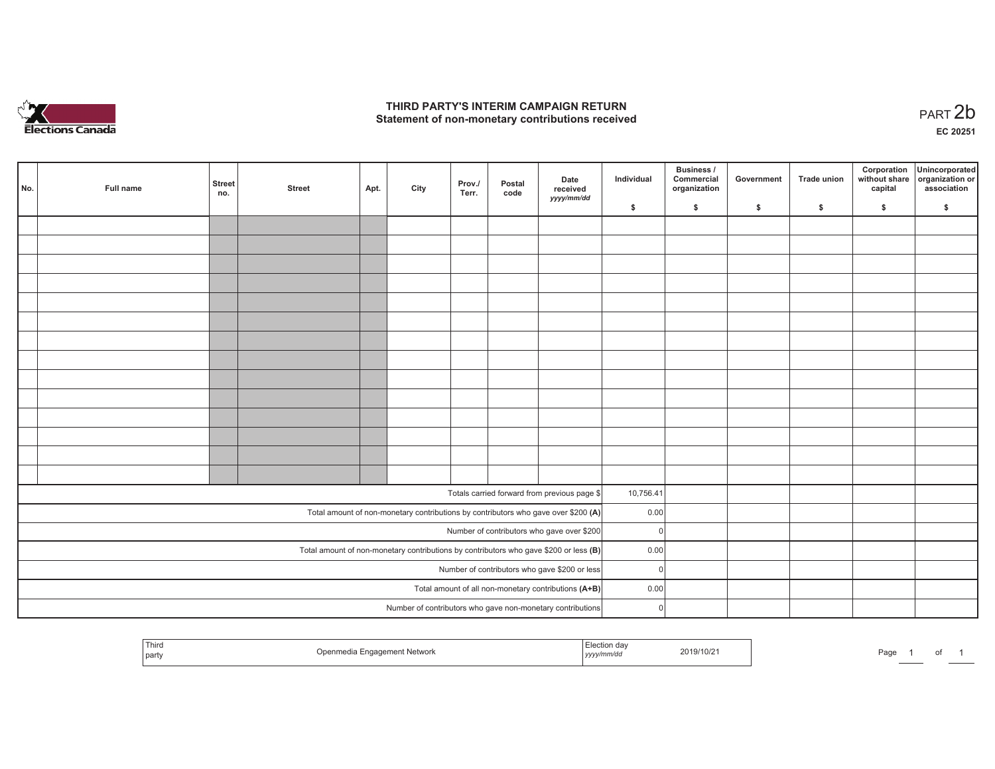

## **THIRD PARTY'S INTERIM CAMPAIGN RETURN**  THIRD PARTY'S INTERIM CAMPAIGN RETURN<br>Statement of non-monetary contributions received

**EC 20251**

| No.                                                                                     | Full name                                  | <b>Street</b><br>no. | <b>Street</b> | Apt. | City | Prov./<br>Terr. | Postal<br>code | Date<br>received<br>yyyy/mm/dd                                                     | Individual | Business /<br>Commercial<br>organization | Government | <b>Trade union</b> | Corporation<br>without share<br>capital | Unincorporated<br>organization or<br>association |
|-----------------------------------------------------------------------------------------|--------------------------------------------|----------------------|---------------|------|------|-----------------|----------------|------------------------------------------------------------------------------------|------------|------------------------------------------|------------|--------------------|-----------------------------------------|--------------------------------------------------|
|                                                                                         |                                            |                      |               |      |      |                 |                |                                                                                    | \$         | s.                                       | \$         | S.                 | \$                                      | S.                                               |
|                                                                                         |                                            |                      |               |      |      |                 |                |                                                                                    |            |                                          |            |                    |                                         |                                                  |
|                                                                                         |                                            |                      |               |      |      |                 |                |                                                                                    |            |                                          |            |                    |                                         |                                                  |
|                                                                                         |                                            |                      |               |      |      |                 |                |                                                                                    |            |                                          |            |                    |                                         |                                                  |
|                                                                                         |                                            |                      |               |      |      |                 |                |                                                                                    |            |                                          |            |                    |                                         |                                                  |
|                                                                                         |                                            |                      |               |      |      |                 |                |                                                                                    |            |                                          |            |                    |                                         |                                                  |
|                                                                                         |                                            |                      |               |      |      |                 |                |                                                                                    |            |                                          |            |                    |                                         |                                                  |
|                                                                                         |                                            |                      |               |      |      |                 |                |                                                                                    |            |                                          |            |                    |                                         |                                                  |
|                                                                                         |                                            |                      |               |      |      |                 |                |                                                                                    |            |                                          |            |                    |                                         |                                                  |
|                                                                                         |                                            |                      |               |      |      |                 |                |                                                                                    |            |                                          |            |                    |                                         |                                                  |
|                                                                                         |                                            |                      |               |      |      |                 |                |                                                                                    |            |                                          |            |                    |                                         |                                                  |
|                                                                                         |                                            |                      |               |      |      |                 |                |                                                                                    |            |                                          |            |                    |                                         |                                                  |
|                                                                                         |                                            |                      |               |      |      |                 |                |                                                                                    |            |                                          |            |                    |                                         |                                                  |
|                                                                                         |                                            |                      |               |      |      |                 |                |                                                                                    |            |                                          |            |                    |                                         |                                                  |
|                                                                                         |                                            |                      |               |      |      |                 |                |                                                                                    |            |                                          |            |                    |                                         |                                                  |
|                                                                                         |                                            |                      |               |      |      |                 |                |                                                                                    |            |                                          |            |                    |                                         |                                                  |
|                                                                                         |                                            |                      |               |      |      |                 |                | Totals carried forward from previous page \$                                       | 10,756.41  |                                          |            |                    |                                         |                                                  |
|                                                                                         |                                            |                      |               |      |      |                 |                | Total amount of non-monetary contributions by contributors who gave over \$200 (A) | 0.00       |                                          |            |                    |                                         |                                                  |
|                                                                                         | Number of contributors who gave over \$200 |                      |               |      |      |                 |                |                                                                                    |            | $\overline{0}$                           |            |                    |                                         |                                                  |
| Total amount of non-monetary contributions by contributors who gave \$200 or less $(B)$ |                                            |                      |               |      |      |                 |                |                                                                                    | 0.00       |                                          |            |                    |                                         |                                                  |
| Number of contributors who gave \$200 or less                                           |                                            |                      |               |      |      |                 |                |                                                                                    | $\Omega$   |                                          |            |                    |                                         |                                                  |
| Total amount of all non-monetary contributions (A+B)                                    |                                            |                      |               |      |      |                 |                |                                                                                    | 0.00       |                                          |            |                    |                                         |                                                  |
|                                                                                         |                                            |                      |               |      |      |                 |                | Number of contributors who gave non-monetary contributions                         | $\Omega$   |                                          |            |                    |                                         |                                                  |

| Third<br>I party | t Network | <i>yyy</i> | 2019/10/21 | Page |  |  |  |
|------------------|-----------|------------|------------|------|--|--|--|
|------------------|-----------|------------|------------|------|--|--|--|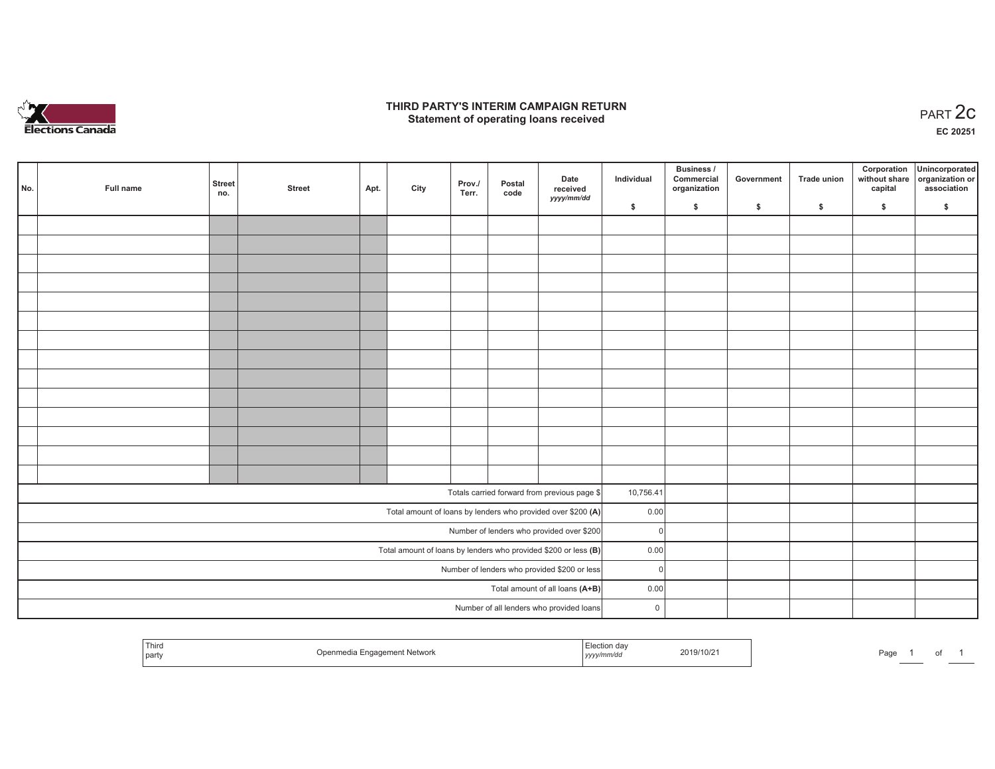

## **THIRD PARTY'S INTERIM CAMPAIGN RETURN**  RD PARTY'S INTERIM CAMPAIGN RETURN<br>Statement of operating loans received **PART 2c**

**EC 20251**

|                                              | No.                                                               | Full name | Street<br>no. | <b>Street</b> | Apt. | City | Prov./<br>Terr. | Postal<br>code | Date<br>received<br>yyyy/mm/dd                               | Individual  | <b>Business /</b><br>Commercial<br>organization | Government | Trade union | Corporation<br>capital | Unincorporated<br>without share organization or<br>association |
|----------------------------------------------|-------------------------------------------------------------------|-----------|---------------|---------------|------|------|-----------------|----------------|--------------------------------------------------------------|-------------|-------------------------------------------------|------------|-------------|------------------------|----------------------------------------------------------------|
|                                              |                                                                   |           |               |               |      |      |                 |                |                                                              | \$          | $\frac{1}{2}$                                   | \$         | \$          | \$                     | \$                                                             |
|                                              |                                                                   |           |               |               |      |      |                 |                |                                                              |             |                                                 |            |             |                        |                                                                |
|                                              |                                                                   |           |               |               |      |      |                 |                |                                                              |             |                                                 |            |             |                        |                                                                |
|                                              |                                                                   |           |               |               |      |      |                 |                |                                                              |             |                                                 |            |             |                        |                                                                |
|                                              |                                                                   |           |               |               |      |      |                 |                |                                                              |             |                                                 |            |             |                        |                                                                |
|                                              |                                                                   |           |               |               |      |      |                 |                |                                                              |             |                                                 |            |             |                        |                                                                |
|                                              |                                                                   |           |               |               |      |      |                 |                |                                                              |             |                                                 |            |             |                        |                                                                |
|                                              |                                                                   |           |               |               |      |      |                 |                |                                                              |             |                                                 |            |             |                        |                                                                |
|                                              |                                                                   |           |               |               |      |      |                 |                |                                                              |             |                                                 |            |             |                        |                                                                |
|                                              |                                                                   |           |               |               |      |      |                 |                |                                                              |             |                                                 |            |             |                        |                                                                |
|                                              |                                                                   |           |               |               |      |      |                 |                |                                                              |             |                                                 |            |             |                        |                                                                |
|                                              |                                                                   |           |               |               |      |      |                 |                |                                                              |             |                                                 |            |             |                        |                                                                |
|                                              |                                                                   |           |               |               |      |      |                 |                |                                                              |             |                                                 |            |             |                        |                                                                |
|                                              |                                                                   |           |               |               |      |      |                 |                |                                                              |             |                                                 |            |             |                        |                                                                |
|                                              |                                                                   |           |               |               |      |      |                 |                |                                                              |             |                                                 |            |             |                        |                                                                |
|                                              |                                                                   |           |               |               |      |      |                 |                |                                                              |             |                                                 |            |             |                        |                                                                |
|                                              |                                                                   |           |               |               |      |      |                 |                | Totals carried forward from previous page \$                 | 10,756.41   |                                                 |            |             |                        |                                                                |
|                                              |                                                                   |           |               |               |      |      |                 |                | Total amount of loans by lenders who provided over \$200 (A) | 0.00        |                                                 |            |             |                        |                                                                |
|                                              | Number of lenders who provided over \$200                         |           |               |               |      |      |                 |                |                                                              | $\Omega$    |                                                 |            |             |                        |                                                                |
|                                              | Total amount of loans by lenders who provided \$200 or less $(B)$ |           |               |               |      |      |                 |                |                                                              | 0.00        |                                                 |            |             |                        |                                                                |
| Number of lenders who provided \$200 or less |                                                                   |           |               |               |      |      |                 | 0              |                                                              |             |                                                 |            |             |                        |                                                                |
| Total amount of all loans (A+B)              |                                                                   |           |               |               |      |      |                 |                | 0.00                                                         |             |                                                 |            |             |                        |                                                                |
|                                              |                                                                   |           |               |               |      |      |                 |                | Number of all lenders who provided loans                     | $\mathsf 0$ |                                                 |            |             |                        |                                                                |

| Third<br>Openmedia Engagement Network<br>l party | <i>≟</i> lection day<br>2019/10/21<br>.<br><sub>I</sub> yyyy/mm/dd | Page |
|--------------------------------------------------|--------------------------------------------------------------------|------|
|--------------------------------------------------|--------------------------------------------------------------------|------|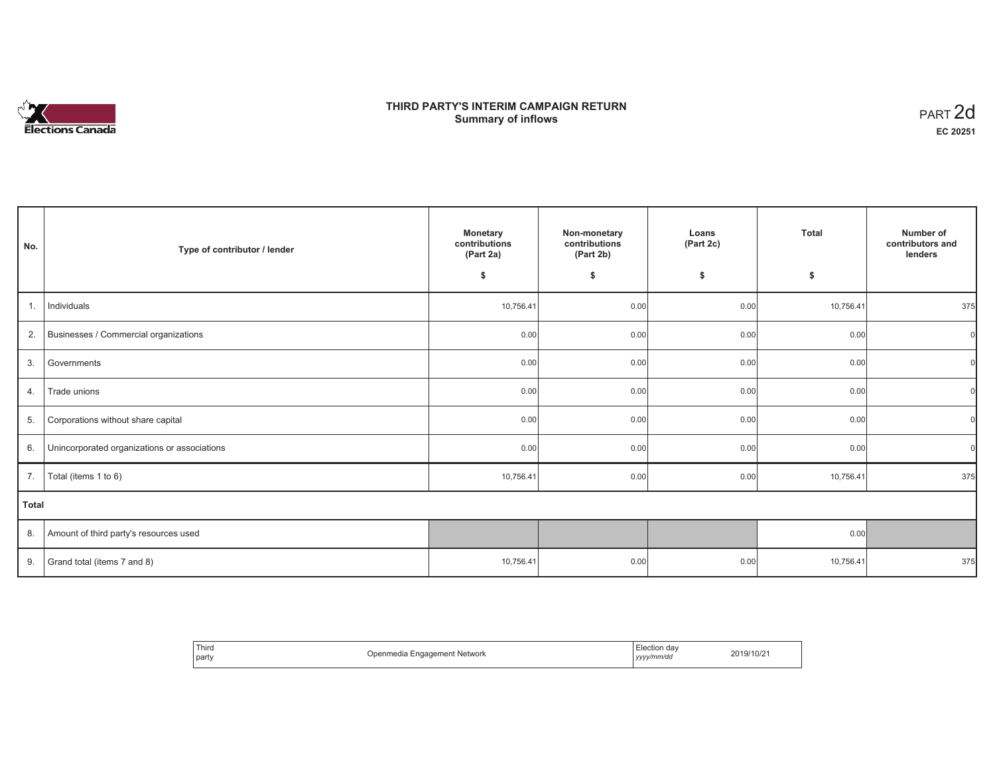# **Elections Canada**

# **THIRD PARTY'S INTERIM CAMPAIGN RETURN Summary of inflows**

| PART <sub>2d</sub> |
|--------------------|
| EC 20251           |

| No.            | Type of contributor / lender                 | <b>Monetary</b><br>contributions<br>(Part 2a) | Non-monetary<br>contributions<br>(Part 2b) | Loans<br>(Part 2c) | <b>Total</b> | Number of<br>contributors and<br>lenders |
|----------------|----------------------------------------------|-----------------------------------------------|--------------------------------------------|--------------------|--------------|------------------------------------------|
|                |                                              | \$                                            | \$                                         | \$                 | \$           |                                          |
| $\mathbf{1}$ . | Individuals                                  | 10,756.41                                     | 0.00                                       | 0.00               | 10,756.41    | 375                                      |
| 2.             | Businesses / Commercial organizations        | 0.00                                          | 0.00                                       | 0.00               | 0.00         |                                          |
| 3.             | Governments                                  | 0.00                                          | 0.00                                       | 0.00               | 0.00         |                                          |
| 4.             | Trade unions                                 | 0.00                                          | 0.00                                       | 0.00               | 0.00         |                                          |
| 5.             | Corporations without share capital           | 0.00                                          | 0.00                                       | 0.00               | 0.00         |                                          |
| 6.             | Unincorporated organizations or associations | 0.00                                          | 0.00                                       | 0.00               | 0.00         |                                          |
| 7.             | Total (items 1 to 6)                         | 10,756.41                                     | 0.00                                       | 0.00               | 10,756.41    | 375                                      |
| <b>Total</b>   |                                              |                                               |                                            |                    |              |                                          |
| 8.             | Amount of third party's resources used       |                                               |                                            |                    | 0.00         |                                          |
| 9.             | Grand total (items 7 and 8)                  | 10,756.41                                     | 0.00                                       | 0.00               | 10,756.41    | 375                                      |

| Third<br>∈lection day<br>2019/10/21<br>า Engagement Network<br>Jpenmedia<br>$\sim$ $\sim$<br>party<br>vyy/mm/da<br>,,,, |  |
|-------------------------------------------------------------------------------------------------------------------------|--|
|-------------------------------------------------------------------------------------------------------------------------|--|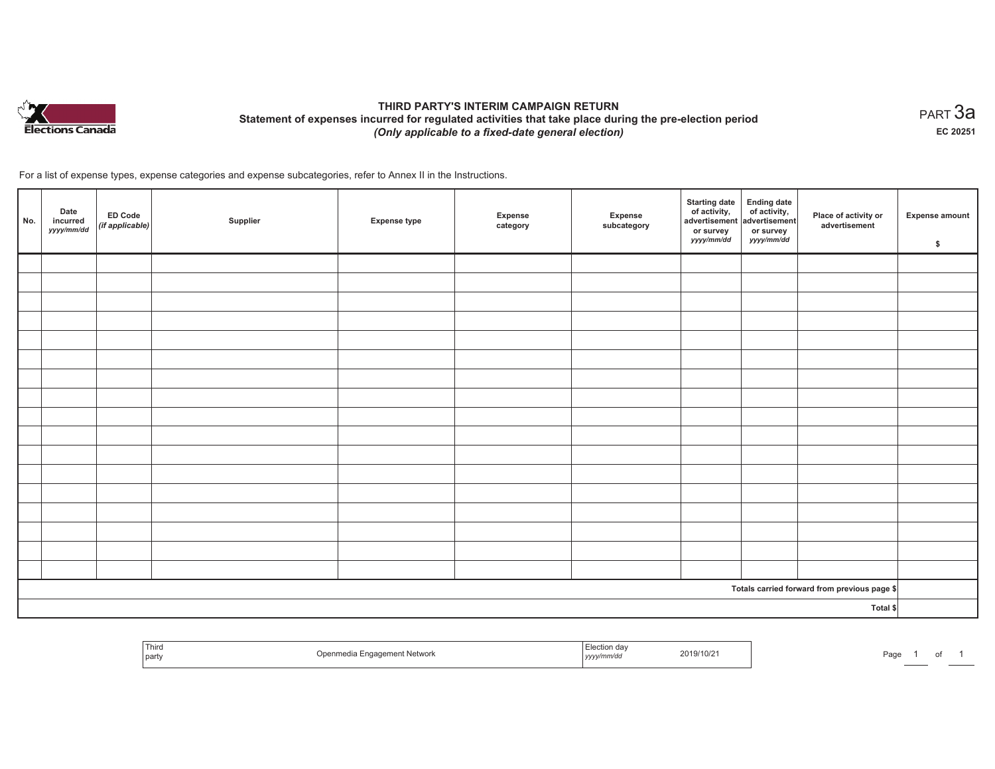

# **THIRD PARTY'S INTERIM CAMPAIGN RETURN Statement of expenses incurred for regulated activities that take place during the pre-election period**  *(Only applicable to a fixed-date general election)*

 $_{\sf PART}$ 3a **EC 20251**

For a list of expense types, expense categories and expense subcategories, refer to Annex II in the Instructions.

| No. | Date<br>incurred<br>yyyy/mm/dd | ED Code<br>(if applicable) | Supplier | <b>Expense type</b> | Expense<br>category | Expense<br>subcategory | <b>Starting date</b><br>of activity, $\left  \begin{array}{cc} \text{of activity,} \\ \text{advertisement} \end{array} \right $<br>or survey<br>yyyy/mm/dd | <b>Ending date</b><br>or survey<br>yyyy/mm/dd | Place of activity or<br>advertisement        | <b>Expense amount</b><br>\$ |
|-----|--------------------------------|----------------------------|----------|---------------------|---------------------|------------------------|------------------------------------------------------------------------------------------------------------------------------------------------------------|-----------------------------------------------|----------------------------------------------|-----------------------------|
|     |                                |                            |          |                     |                     |                        |                                                                                                                                                            |                                               |                                              |                             |
|     |                                |                            |          |                     |                     |                        |                                                                                                                                                            |                                               |                                              |                             |
|     |                                |                            |          |                     |                     |                        |                                                                                                                                                            |                                               |                                              |                             |
|     |                                |                            |          |                     |                     |                        |                                                                                                                                                            |                                               |                                              |                             |
|     |                                |                            |          |                     |                     |                        |                                                                                                                                                            |                                               |                                              |                             |
|     |                                |                            |          |                     |                     |                        |                                                                                                                                                            |                                               |                                              |                             |
|     |                                |                            |          |                     |                     |                        |                                                                                                                                                            |                                               |                                              |                             |
|     |                                |                            |          |                     |                     |                        |                                                                                                                                                            |                                               |                                              |                             |
|     |                                |                            |          |                     |                     |                        |                                                                                                                                                            |                                               |                                              |                             |
|     |                                |                            |          |                     |                     |                        |                                                                                                                                                            |                                               |                                              |                             |
|     |                                |                            |          |                     |                     |                        |                                                                                                                                                            |                                               |                                              |                             |
|     |                                |                            |          |                     |                     |                        |                                                                                                                                                            |                                               |                                              |                             |
|     |                                |                            |          |                     |                     |                        |                                                                                                                                                            |                                               |                                              |                             |
|     |                                |                            |          |                     |                     |                        |                                                                                                                                                            |                                               |                                              |                             |
|     |                                |                            |          |                     |                     |                        |                                                                                                                                                            |                                               |                                              |                             |
|     |                                |                            |          |                     |                     |                        |                                                                                                                                                            |                                               |                                              |                             |
|     |                                |                            |          |                     |                     |                        |                                                                                                                                                            |                                               |                                              |                             |
|     |                                |                            |          |                     |                     |                        |                                                                                                                                                            |                                               | Totals carried forward from previous page \$ |                             |
|     | Total \$                       |                            |          |                     |                     |                        |                                                                                                                                                            |                                               |                                              |                             |

| Third<br>  party | <sup>*</sup> t Network<br>Jner | und dav<br>,,,,, | 2019/10/2 | Page |  |
|------------------|--------------------------------|------------------|-----------|------|--|
|                  |                                |                  |           |      |  |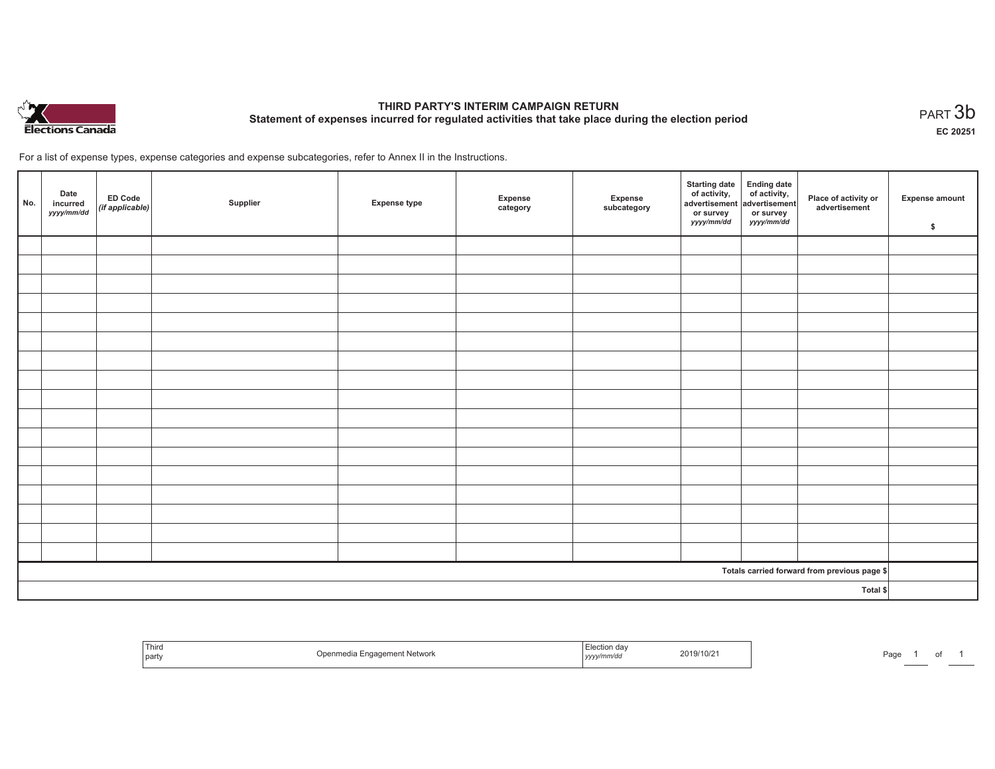

# **THIRD PARTY'S INTERIM CAMPAIGN RETURN Statement of expenses incurred for regulated activities that take place during the election period**<br>PART  $3\mathsf{b}$

**EC 20251**

For a list of expense types, expense categories and expense subcategories, refer to Annex II in the Instructions.

| No.                                          | Date<br>incurred<br>yyyy/mm/dd | ED Code<br>(if applicable) | Supplier | <b>Expense type</b> | Expense<br>category | Expense<br>subcategory | Starting date Ending date<br>of activity, advertisement advertisement<br>or survey<br>yyyy/mm/dd | or survey<br>yyyy/mm/dd | Place of activity or<br>advertisement | Expense amount<br>\$ |
|----------------------------------------------|--------------------------------|----------------------------|----------|---------------------|---------------------|------------------------|--------------------------------------------------------------------------------------------------|-------------------------|---------------------------------------|----------------------|
|                                              |                                |                            |          |                     |                     |                        |                                                                                                  |                         |                                       |                      |
|                                              |                                |                            |          |                     |                     |                        |                                                                                                  |                         |                                       |                      |
|                                              |                                |                            |          |                     |                     |                        |                                                                                                  |                         |                                       |                      |
|                                              |                                |                            |          |                     |                     |                        |                                                                                                  |                         |                                       |                      |
|                                              |                                |                            |          |                     |                     |                        |                                                                                                  |                         |                                       |                      |
|                                              |                                |                            |          |                     |                     |                        |                                                                                                  |                         |                                       |                      |
|                                              |                                |                            |          |                     |                     |                        |                                                                                                  |                         |                                       |                      |
|                                              |                                |                            |          |                     |                     |                        |                                                                                                  |                         |                                       |                      |
|                                              |                                |                            |          |                     |                     |                        |                                                                                                  |                         |                                       |                      |
|                                              |                                |                            |          |                     |                     |                        |                                                                                                  |                         |                                       |                      |
|                                              |                                |                            |          |                     |                     |                        |                                                                                                  |                         |                                       |                      |
|                                              |                                |                            |          |                     |                     |                        |                                                                                                  |                         |                                       |                      |
|                                              |                                |                            |          |                     |                     |                        |                                                                                                  |                         |                                       |                      |
|                                              |                                |                            |          |                     |                     |                        |                                                                                                  |                         |                                       |                      |
|                                              |                                |                            |          |                     |                     |                        |                                                                                                  |                         |                                       |                      |
|                                              |                                |                            |          |                     |                     |                        |                                                                                                  |                         |                                       |                      |
|                                              |                                |                            |          |                     |                     |                        |                                                                                                  |                         |                                       |                      |
| Totals carried forward from previous page \$ |                                |                            |          |                     |                     |                        |                                                                                                  |                         |                                       |                      |
|                                              | Total \$                       |                            |          |                     |                     |                        |                                                                                                  |                         |                                       |                      |

| <sup>I</sup> Third<br>  party | Openmedia Engagement Network | 2019/10/2<br>, yyyymm⁄aa | Page |
|-------------------------------|------------------------------|--------------------------|------|
|-------------------------------|------------------------------|--------------------------|------|